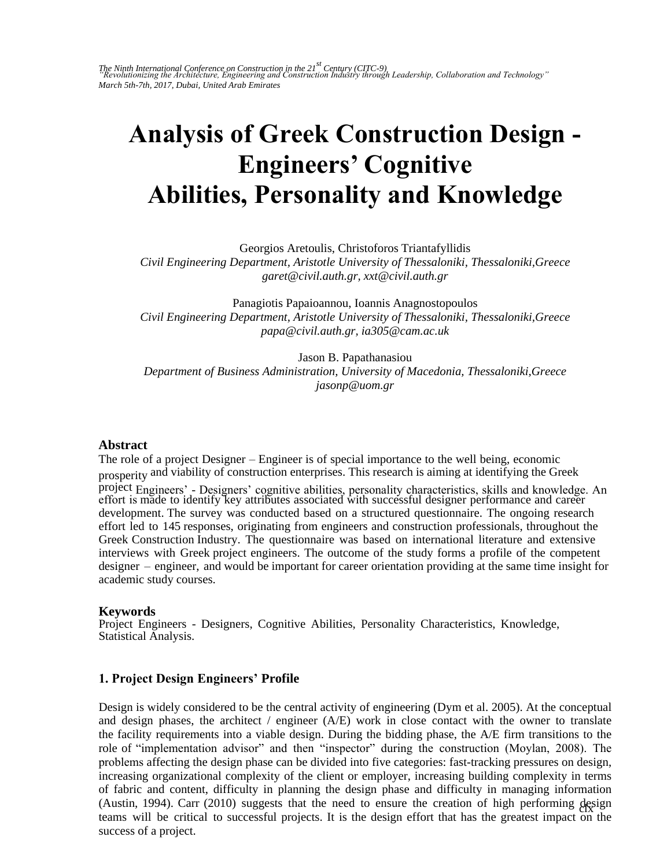The Ninth International Conference on Construction in the 21<sup>st</sup> Century (CITC-9)<br>"Revolutionizing the Architecture, Engineering and Construction Industry through Leadership, Collaboration and Technology" *March 5th-7th, 2017, Dubai, United Arab Emirates* 

# **Analysis of Greek Construction Design - Engineers' Cognitive Abilities, Personality and Knowledge**

Georgios Aretoulis, Christoforos Triantafyllidis

*Civil Engineering Department, Aristotle University of Thessaloniki, Thessaloniki,Greece garet@civil.auth.gr, xxt@civil.auth.gr* 

Panagiotis Papaioannou, Ioannis Anagnostopoulos *Civil Engineering Department, Aristotle University of Thessaloniki, Thessaloniki,Greece papa@civil.auth.gr, ia305@cam.ac.uk* 

Jason B. Papathanasiou *Department of Business Administration, University of Macedonia, Thessaloniki,Greece jasonp@uom.gr* 

#### **Abstract**

The role of a project Designer – Engineer is of special importance to the well being, economic prosperity and viability of construction enterprises. This research is aiming at identifying the Greek project Engineers' - Designers' cognitive abilities, personality characteristics, skills and knowledge. An effort is made to identify key attributes associated with successful designer performance and career development. The survey was conducted based on a structured questionnaire. The ongoing research effort led to 145 responses, originating from engineers and construction professionals, throughout the Greek Construction Industry. The questionnaire was based on international literature and extensive interviews with Greek project engineers. The outcome of the study forms a profile of the competent designer – engineer, and would be important for career orientation providing at the same time insight for academic study courses.

### **Keywords**

Project Engineers - Designers, Cognitive Abilities, Personality Characteristics, Knowledge, Statistical Analysis.

### **1. Project Design Engineers' Profile**

(Austin, 1994). Carr (2010) suggests that the need to ensure the creation of high performing design teams will be critical to successful projects. It is the design effort that has the greatest impact on the Design is widely considered to be the central activity of engineering (Dym et al. 2005). At the conceptual and design phases, the architect / engineer  $(A/E)$  work in close contact with the owner to translate the facility requirements into a viable design. During the bidding phase, the A/E firm transitions to the role of "implementation advisor" and then "inspector" during the construction (Moylan, 2008). The problems affecting the design phase can be divided into five categories: fast-tracking pressures on design, increasing organizational complexity of the client or employer, increasing building complexity in terms of fabric and content, difficulty in planning the design phase and difficulty in managing information success of a project.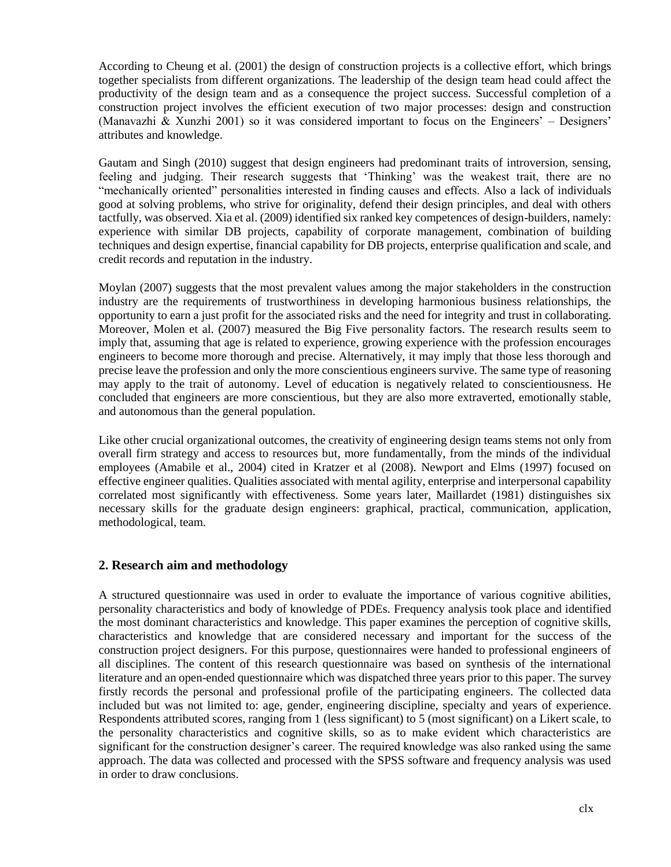According to Cheung et al. (2001) the design of construction projects is a collective effort, which brings together specialists from different organizations. The leadership of the design team head could affect the productivity of the design team and as a consequence the project success. Successful completion of a construction project involves the efficient execution of two major processes: design and construction (Manavazhi & Xunzhi 2001) so it was considered important to focus on the Engineers' – Designers' attributes and knowledge.

Gautam and Singh (2010) suggest that design engineers had predominant traits of introversion, sensing, feeling and judging. Their research suggests that 'Thinking' was the weakest trait, there are no "mechanically oriented" personalities interested in finding causes and effects. Also a lack of individuals good at solving problems, who strive for originality, defend their design principles, and deal with others tactfully, was observed. Xia et al. (2009) identified six ranked key competences of design-builders, namely: experience with similar DB projects, capability of corporate management, combination of building techniques and design expertise, financial capability for DB projects, enterprise qualification and scale, and credit records and reputation in the industry.

Moylan (2007) suggests that the most prevalent values among the major stakeholders in the construction industry are the requirements of trustworthiness in developing harmonious business relationships, the opportunity to earn a just profit for the associated risks and the need for integrity and trust in collaborating. Moreover, Molen et al. (2007) measured the Big Five personality factors. The research results seem to imply that, assuming that age is related to experience, growing experience with the profession encourages engineers to become more thorough and precise. Alternatively, it may imply that those less thorough and precise leave the profession and only the more conscientious engineers survive. The same type of reasoning may apply to the trait of autonomy. Level of education is negatively related to conscientiousness. He concluded that engineers are more conscientious, but they are also more extraverted, emotionally stable, and autonomous than the general population.

Like other crucial organizational outcomes, the creativity of engineering design teams stems not only from overall firm strategy and access to resources but, more fundamentally, from the minds of the individual employees (Amabile et al., 2004) cited in Kratzer et al (2008). Newport and Elms (1997) focused on effective engineer qualities. Qualities associated with mental agility, enterprise and interpersonal capability correlated most significantly with effectiveness. Some years later, Maillardet (1981) distinguishes six necessary skills for the graduate design engineers: graphical, practical, communication, application, methodological, team.

# **2. Research aim and methodology**

A structured questionnaire was used in order to evaluate the importance of various cognitive abilities, personality characteristics and body of knowledge of PDEs. Frequency analysis took place and identified the most dominant characteristics and knowledge. This paper examines the perception of cognitive skills, characteristics and knowledge that are considered necessary and important for the success of the construction project designers. For this purpose, questionnaires were handed to professional engineers of all disciplines. The content of this research questionnaire was based on synthesis of the international literature and an open-ended questionnaire which was dispatched three years prior to this paper. The survey firstly records the personal and professional profile of the participating engineers. The collected data included but was not limited to: age, gender, engineering discipline, specialty and years of experience. Respondents attributed scores, ranging from 1 (less significant) to 5 (most significant) on a Likert scale, to the personality characteristics and cognitive skills, so as to make evident which characteristics are significant for the construction designer's career. The required knowledge was also ranked using the same approach. The data was collected and processed with the SPSS software and frequency analysis was used in order to draw conclusions.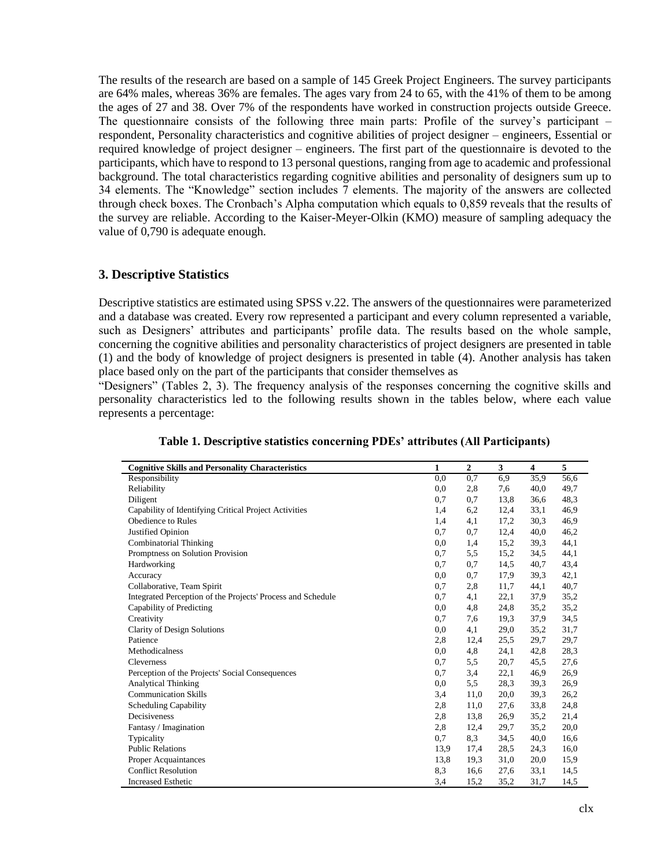The results of the research are based on a sample of 145 Greek Project Engineers. The survey participants are 64% males, whereas 36% are females. The ages vary from 24 to 65, with the 41% of them to be among the ages of 27 and 38. Over 7% of the respondents have worked in construction projects outside Greece. The questionnaire consists of the following three main parts: Profile of the survey's participant – respondent, Personality characteristics and cognitive abilities of project designer – engineers, Essential or required knowledge of project designer – engineers. The first part of the questionnaire is devoted to the participants, which have to respond to 13 personal questions, ranging from age to academic and professional background. The total characteristics regarding cognitive abilities and personality of designers sum up to 34 elements. The "Knowledge" section includes 7 elements. The majority of the answers are collected through check boxes. The Cronbach's Alpha computation which equals to 0,859 reveals that the results of the survey are reliable. According to the Kaiser-Meyer-Olkin (KMO) measure of sampling adequacy the value of 0,790 is adequate enough.

# **3. Descriptive Statistics**

Descriptive statistics are estimated using SPSS v.22. The answers of the questionnaires were parameterized and a database was created. Every row represented a participant and every column represented a variable, such as Designers' attributes and participants' profile data. The results based on the whole sample, concerning the cognitive abilities and personality characteristics of project designers are presented in table (1) and the body of knowledge of project designers is presented in table (4). Another analysis has taken place based only on the part of the participants that consider themselves as

"Designers" (Tables 2, 3). The frequency analysis of the responses concerning the cognitive skills and personality characteristics led to the following results shown in the tables below, where each value represents a percentage:

| <b>Cognitive Skills and Personality Characteristics</b>     | $\mathbf{1}$ | $\overline{2}$ | 3    | 4    | 5    |
|-------------------------------------------------------------|--------------|----------------|------|------|------|
| Responsibility                                              | 0.0          | 0,7            | 6,9  | 35,9 | 56,6 |
| Reliability                                                 | 0,0          | 2,8            | 7,6  | 40,0 | 49,7 |
| Diligent                                                    | 0,7          | 0,7            | 13,8 | 36,6 | 48,3 |
| Capability of Identifying Critical Project Activities       | 1,4          | 6,2            | 12,4 | 33,1 | 46,9 |
| Obedience to Rules                                          | 1,4          | 4,1            | 17,2 | 30,3 | 46,9 |
| Justified Opinion                                           | 0,7          | 0,7            | 12,4 | 40,0 | 46,2 |
| <b>Combinatorial Thinking</b>                               | 0.0          | 1,4            | 15,2 | 39.3 | 44,1 |
| Promptness on Solution Provision                            | 0,7          | 5,5            | 15,2 | 34,5 | 44,1 |
| Hardworking                                                 | 0,7          | 0,7            | 14,5 | 40,7 | 43.4 |
| Accuracy                                                    | 0.0          | 0,7            | 17,9 | 39.3 | 42,1 |
| Collaborative, Team Spirit                                  | 0,7          | 2,8            | 11,7 | 44,1 | 40,7 |
| Integrated Perception of the Projects' Process and Schedule | 0,7          | 4,1            | 22,1 | 37.9 | 35,2 |
| Capability of Predicting                                    | 0,0          | 4,8            | 24,8 | 35,2 | 35,2 |
| Creativity                                                  | 0,7          | 7,6            | 19,3 | 37.9 | 34,5 |
| Clarity of Design Solutions                                 | 0.0          | 4,1            | 29,0 | 35,2 | 31,7 |
| Patience                                                    | 2,8          | 12,4           | 25,5 | 29,7 | 29,7 |
| Methodicalness                                              | 0.0          | 4,8            | 24,1 | 42,8 | 28,3 |
| Cleverness                                                  | 0,7          | 5,5            | 20,7 | 45,5 | 27,6 |
| Perception of the Projects' Social Consequences             | 0,7          | 3,4            | 22,1 | 46.9 | 26,9 |
| <b>Analytical Thinking</b>                                  | 0.0          | 5,5            | 28.3 | 39.3 | 26.9 |
| <b>Communication Skills</b>                                 | 3,4          | 11,0           | 20,0 | 39,3 | 26,2 |
| <b>Scheduling Capability</b>                                | 2,8          | 11,0           | 27,6 | 33,8 | 24,8 |
| Decisiveness                                                | 2,8          | 13,8           | 26,9 | 35,2 | 21,4 |
| Fantasy / Imagination                                       | 2,8          | 12,4           | 29,7 | 35,2 | 20,0 |
| Typicality                                                  | 0,7          | 8,3            | 34,5 | 40,0 | 16,6 |
| <b>Public Relations</b>                                     | 13,9         | 17,4           | 28,5 | 24,3 | 16,0 |
| Proper Acquaintances                                        | 13,8         | 19.3           | 31,0 | 20,0 | 15,9 |
| <b>Conflict Resolution</b>                                  | 8,3          | 16.6           | 27,6 | 33,1 | 14,5 |
| <b>Increased Esthetic</b>                                   | 3,4          | 15,2           | 35,2 | 31,7 | 14,5 |

**Table 1. Descriptive statistics concerning PDEs' attributes (All Participants)**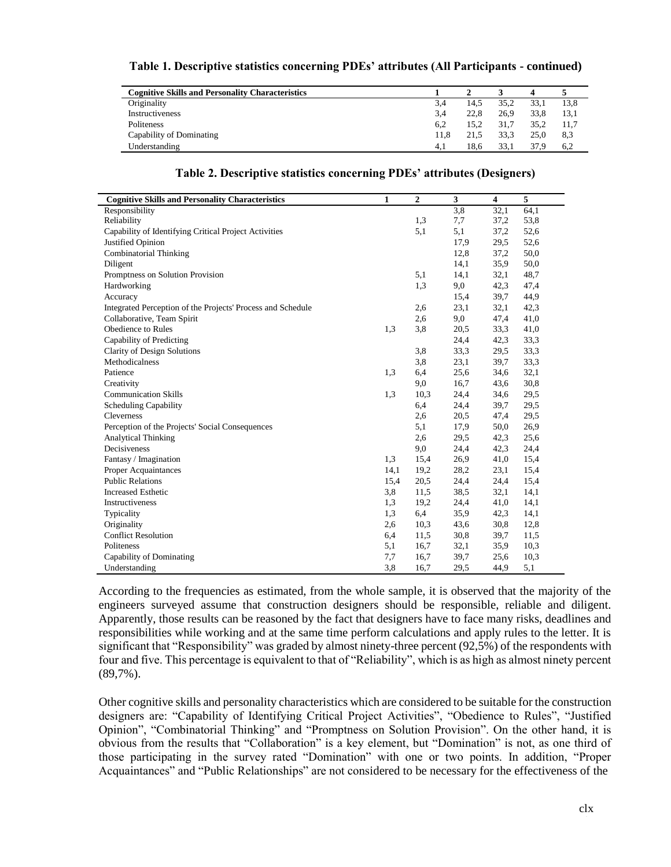| <b>Cognitive Skills and Personality Characteristics</b> |      |      |      |      |      |  |
|---------------------------------------------------------|------|------|------|------|------|--|
| Originality                                             | 3.4  | 14.5 | 35.2 | 33.1 | 13,8 |  |
| Instructiveness                                         | 3.4  | 22.8 | 26.9 | 33.8 | 13.1 |  |
| Politeness                                              | 6.2  | 15.2 | 31.7 | 35.2 | 11.7 |  |
| Capability of Dominating                                | 11.8 | 21.5 | 33.3 | 25.0 | 8,3  |  |
| Understanding                                           | 4.1  | 18.6 | 33.1 | 37.9 | 6.2  |  |

|  |  |  | Table 1. Descriptive statistics concerning PDEs' attributes (All Participants - continued) |
|--|--|--|--------------------------------------------------------------------------------------------|
|  |  |  |                                                                                            |

| <b>Cognitive Skills and Personality Characteristics</b>     | $\mathbf{1}$ | 2    | 3    | 4    | 5    |
|-------------------------------------------------------------|--------------|------|------|------|------|
| Responsibility                                              |              |      | 3,8  | 32,1 | 64,1 |
| Reliability                                                 |              | 1,3  | 7,7  | 37,2 | 53,8 |
| Capability of Identifying Critical Project Activities       |              | 5,1  | 5,1  | 37,2 | 52,6 |
| Justified Opinion                                           |              |      | 17,9 | 29,5 | 52,6 |
| <b>Combinatorial Thinking</b>                               |              |      | 12,8 | 37,2 | 50,0 |
| Diligent                                                    |              |      | 14,1 | 35,9 | 50,0 |
| Promptness on Solution Provision                            |              | 5,1  | 14,1 | 32,1 | 48,7 |
| Hardworking                                                 |              | 1,3  | 9,0  | 42,3 | 47,4 |
| Accuracy                                                    |              |      | 15.4 | 39,7 | 44,9 |
| Integrated Perception of the Projects' Process and Schedule |              | 2,6  | 23,1 | 32,1 | 42,3 |
| Collaborative, Team Spirit                                  |              | 2,6  | 9,0  | 47,4 | 41,0 |
| Obedience to Rules                                          | 1,3          | 3,8  | 20,5 | 33,3 | 41,0 |
| Capability of Predicting                                    |              |      | 24,4 | 42,3 | 33,3 |
| Clarity of Design Solutions                                 |              | 3,8  | 33,3 | 29,5 | 33,3 |
| Methodicalness                                              |              | 3,8  | 23,1 | 39,7 | 33,3 |
| Patience                                                    | 1,3          | 6,4  | 25,6 | 34,6 | 32,1 |
| Creativity                                                  |              | 9,0  | 16,7 | 43,6 | 30,8 |
| <b>Communication Skills</b>                                 | 1,3          | 10,3 | 24,4 | 34,6 | 29,5 |
| <b>Scheduling Capability</b>                                |              | 6,4  | 24,4 | 39,7 | 29,5 |
| Cleverness                                                  |              | 2,6  | 20,5 | 47,4 | 29,5 |
| Perception of the Projects' Social Consequences             |              | 5,1  | 17,9 | 50,0 | 26,9 |
| <b>Analytical Thinking</b>                                  |              | 2,6  | 29,5 | 42,3 | 25,6 |
| Decisiveness                                                |              | 9,0  | 24,4 | 42,3 | 24,4 |
| Fantasy / Imagination                                       | 1,3          | 15,4 | 26,9 | 41,0 | 15,4 |
| <b>Proper Acquaintances</b>                                 | 14,1         | 19,2 | 28,2 | 23,1 | 15,4 |
| <b>Public Relations</b>                                     | 15,4         | 20,5 | 24,4 | 24,4 | 15,4 |
| <b>Increased Esthetic</b>                                   | 3,8          | 11,5 | 38,5 | 32,1 | 14,1 |
| Instructiveness                                             | 1,3          | 19,2 | 24,4 | 41,0 | 14,1 |
| Typicality                                                  | 1,3          | 6,4  | 35,9 | 42,3 | 14,1 |
| Originality                                                 | 2,6          | 10,3 | 43,6 | 30,8 | 12,8 |
| <b>Conflict Resolution</b>                                  | 6,4          | 11,5 | 30,8 | 39,7 | 11,5 |
| Politeness                                                  | 5,1          | 16,7 | 32,1 | 35,9 | 10,3 |
| Capability of Dominating                                    | 7,7          | 16,7 | 39,7 | 25,6 | 10,3 |
| Understanding                                               | 3,8          | 16,7 | 29.5 | 44,9 | 5,1  |

#### **Table 2. Descriptive statistics concerning PDEs' attributes (Designers)**

According to the frequencies as estimated, from the whole sample, it is observed that the majority of the engineers surveyed assume that construction designers should be responsible, reliable and diligent. Apparently, those results can be reasoned by the fact that designers have to face many risks, deadlines and responsibilities while working and at the same time perform calculations and apply rules to the letter. It is significant that "Responsibility" was graded by almost ninety-three percent (92,5%) of the respondents with four and five. This percentage is equivalent to that of "Reliability", which is as high as almost ninety percent (89,7%).

Other cognitive skills and personality characteristics which are considered to be suitable for the construction designers are: "Capability of Identifying Critical Project Activities", "Obedience to Rules", "Justified Opinion", "Combinatorial Thinking" and "Promptness on Solution Provision". On the other hand, it is obvious from the results that "Collaboration" is a key element, but "Domination" is not, as one third of those participating in the survey rated "Domination" with one or two points. In addition, "Proper Acquaintances" and "Public Relationships" are not considered to be necessary for the effectiveness of the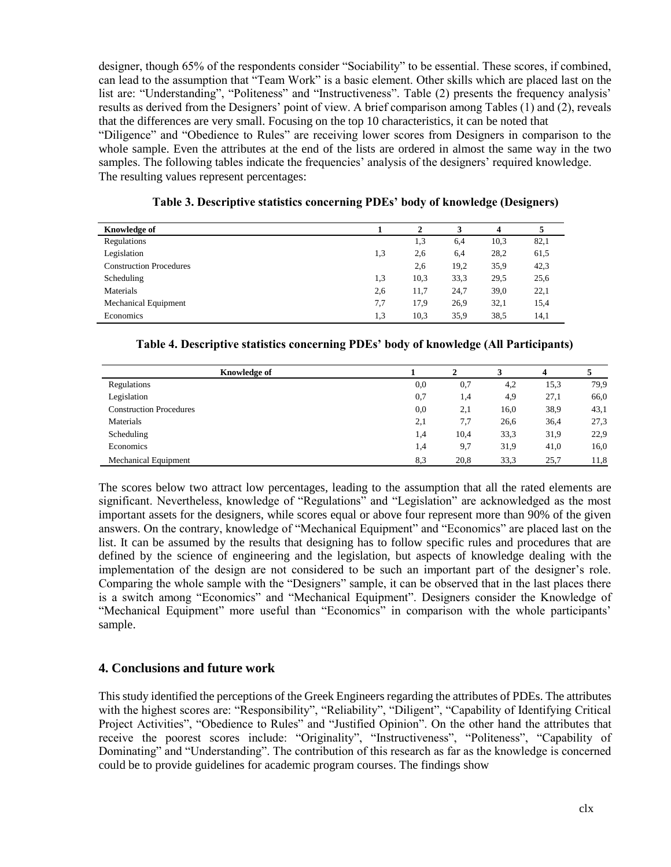designer, though 65% of the respondents consider "Sociability" to be essential. These scores, if combined, can lead to the assumption that "Team Work" is a basic element. Other skills which are placed last on the list are: "Understanding", "Politeness" and "Instructiveness". Table (2) presents the frequency analysis' results as derived from the Designers' point of view. A brief comparison among Tables (1) and (2), reveals that the differences are very small. Focusing on the top 10 characteristics, it can be noted that

"Diligence" and "Obedience to Rules" are receiving lower scores from Designers in comparison to the whole sample. Even the attributes at the end of the lists are ordered in almost the same way in the two samples. The following tables indicate the frequencies' analysis of the designers' required knowledge. The resulting values represent percentages:

| <b>Knowledge of</b>            |     | $\mathbf{2}$ | 3    | $\overline{\mathbf{4}}$ |      |
|--------------------------------|-----|--------------|------|-------------------------|------|
| Regulations                    |     | 1,3          | 6,4  | 10,3                    | 82,1 |
| Legislation                    | 1,3 | 2,6          | 6,4  | 28,2                    | 61,5 |
| <b>Construction Procedures</b> |     | 2,6          | 19,2 | 35,9                    | 42,3 |
| Scheduling                     | 1,3 | 10,3         | 33,3 | 29,5                    | 25,6 |
| Materials                      | 2,6 | 11,7         | 24,7 | 39,0                    | 22,1 |
| <b>Mechanical Equipment</b>    | 7,7 | 17,9         | 26,9 | 32,1                    | 15,4 |
| Economics                      | 1,3 | 10,3         | 35,9 | 38,5                    | 14,1 |

**Table 3. Descriptive statistics concerning PDEs' body of knowledge (Designers)**

## **Table 4. Descriptive statistics concerning PDEs' body of knowledge (All Participants)**

| <b>Knowledge of</b>            |     |      |      |      |      |
|--------------------------------|-----|------|------|------|------|
| Regulations                    | 0,0 | 0,7  | 4,2  | 15,3 | 79.9 |
| Legislation                    | 0,7 | 1,4  | 4,9  | 27,1 | 66,0 |
| <b>Construction Procedures</b> | 0,0 | 2,1  | 16,0 | 38.9 | 43,1 |
| Materials                      | 2,1 | 7,7  | 26,6 | 36,4 | 27,3 |
| Scheduling                     | 1,4 | 10,4 | 33,3 | 31,9 | 22,9 |
| Economics                      | 1,4 | 9,7  | 31,9 | 41,0 | 16,0 |
| <b>Mechanical Equipment</b>    | 8.3 | 20,8 | 33,3 | 25,7 | 11,8 |

The scores below two attract low percentages, leading to the assumption that all the rated elements are significant. Nevertheless, knowledge of "Regulations" and "Legislation" are acknowledged as the most important assets for the designers, while scores equal or above four represent more than 90% of the given answers. On the contrary, knowledge of "Mechanical Equipment" and "Economics" are placed last on the list. It can be assumed by the results that designing has to follow specific rules and procedures that are defined by the science of engineering and the legislation, but aspects of knowledge dealing with the implementation of the design are not considered to be such an important part of the designer's role. Comparing the whole sample with the "Designers" sample, it can be observed that in the last places there is a switch among "Economics" and "Mechanical Equipment". Designers consider the Knowledge of "Mechanical Equipment" more useful than "Economics" in comparison with the whole participants' sample.

# **4. Conclusions and future work**

This study identified the perceptions of the Greek Engineers regarding the attributes of PDEs. The attributes with the highest scores are: "Responsibility", "Reliability", "Diligent", "Capability of Identifying Critical Project Activities", "Obedience to Rules" and "Justified Opinion". On the other hand the attributes that receive the poorest scores include: "Originality", "Instructiveness", "Politeness", "Capability of Dominating" and "Understanding". The contribution of this research as far as the knowledge is concerned could be to provide guidelines for academic program courses. The findings show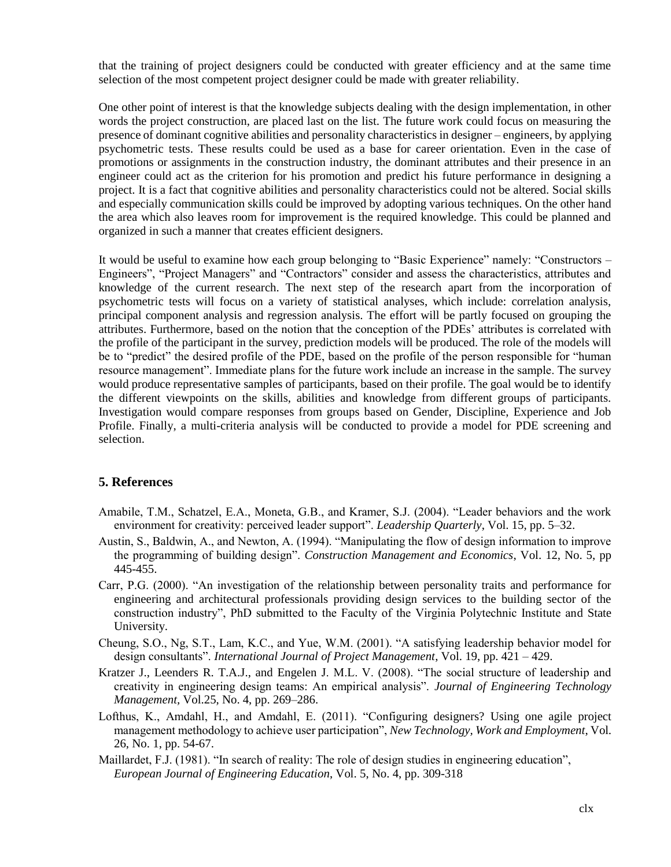that the training of project designers could be conducted with greater efficiency and at the same time selection of the most competent project designer could be made with greater reliability.

One other point of interest is that the knowledge subjects dealing with the design implementation, in other words the project construction, are placed last on the list. The future work could focus on measuring the presence of dominant cognitive abilities and personality characteristics in designer – engineers, by applying psychometric tests. These results could be used as a base for career orientation. Even in the case of promotions or assignments in the construction industry, the dominant attributes and their presence in an engineer could act as the criterion for his promotion and predict his future performance in designing a project. It is a fact that cognitive abilities and personality characteristics could not be altered. Social skills and especially communication skills could be improved by adopting various techniques. On the other hand the area which also leaves room for improvement is the required knowledge. This could be planned and organized in such a manner that creates efficient designers.

It would be useful to examine how each group belonging to "Basic Experience" namely: "Constructors – Engineers", "Project Managers" and "Contractors" consider and assess the characteristics, attributes and knowledge of the current research. The next step of the research apart from the incorporation of psychometric tests will focus on a variety of statistical analyses, which include: correlation analysis, principal component analysis and regression analysis. The effort will be partly focused on grouping the attributes. Furthermore, based on the notion that the conception of the PDEs' attributes is correlated with the profile of the participant in the survey, prediction models will be produced. The role of the models will be to "predict" the desired profile of the PDE, based on the profile of the person responsible for "human resource management". Immediate plans for the future work include an increase in the sample. The survey would produce representative samples of participants, based on their profile. The goal would be to identify the different viewpoints on the skills, abilities and knowledge from different groups of participants. Investigation would compare responses from groups based on Gender, Discipline, Experience and Job Profile. Finally, a multi-criteria analysis will be conducted to provide a model for PDE screening and selection.

### **5. References**

- Amabile, T.M., Schatzel, E.A., Moneta, G.B., and Kramer, S.J. (2004). "Leader behaviors and the work environment for creativity: perceived leader support". *Leadership Quarterly*, Vol. 15, pp. 5–32.
- Austin, S., Baldwin, A., and Newton, A. (1994). "Manipulating the flow of design information to improve the programming of building design". *Construction Management and Economics*, Vol. 12, No. 5, pp 445-455.
- Carr, P.G. (2000). "An investigation of the relationship between personality traits and performance for engineering and architectural professionals providing design services to the building sector of the construction industry", PhD submitted to the Faculty of the Virginia Polytechnic Institute and State University.
- Cheung, S.O., Ng, S.T., Lam, K.C., and Yue, W.M. (2001). "A satisfying leadership behavior model for design consultants". *International Journal of Project Management*, Vol. 19, pp. 421 – 429.
- Kratzer J., Leenders R. T.A.J., and Engelen J. M.L. V. (2008). "The social structure of leadership and creativity in engineering design teams: An empirical analysis". *Journal of Engineering Technology Management,* Vol.25, No. 4, pp. 269–286.
- Lofthus, K., Amdahl, H., and Amdahl, E. (2011). "Configuring designers? Using one agile project management methodology to achieve user participation", *New Technology, Work and Employment*, Vol. 26, No. 1, pp. 54-67.
- Maillardet, F.J. (1981). "In search of reality: The role of design studies in engineering education", *European Journal of Engineering Education*, [Vol. 5, No. 4, p](http://www.tandfonline.com/loi/ceee20?open=5#vol_5)p. 309-318